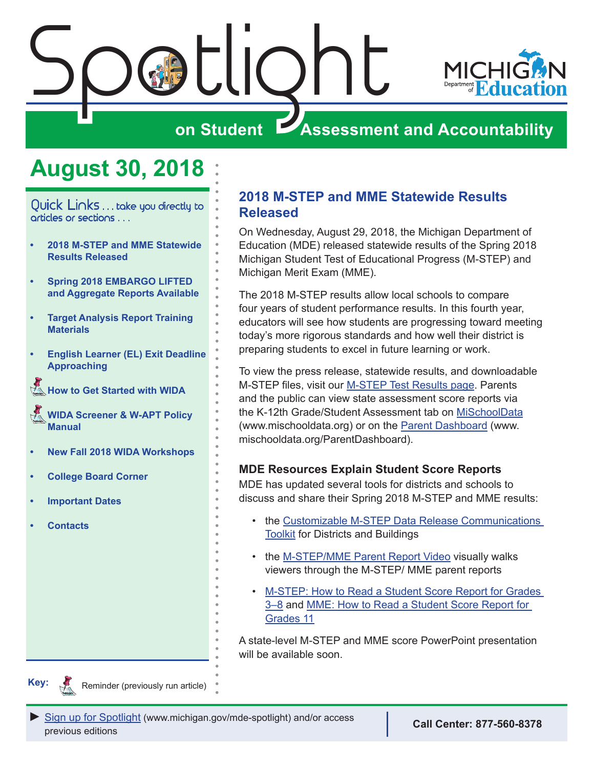

# <span id="page-0-0"></span>Spatlight **on Student Assessment and Accountability**

### **August 30, 2018**

Quick Links . . . take you directly to articles or sections . . .

- **• 2018 M-STEP and MME Statewide Results Released**
- **• [Spring 2018 EMBARGO LIFTED](#page-1-0)  [and Aggregate Reports Available](#page-1-0)**
- **• [Target Analysis Report Training](#page-3-0)  [Materials](#page-3-0)**
- **• [English Learner \(EL\) Exit Deadline](#page-4-0)  [Approaching](#page-4-0)**
- **K** [How to Get Started with WIDA](#page-4-0)
- *<u>Reminders</u>* **[WIDA Screener & W-APT Policy](#page-5-0)  [Manual](#page-5-0)**
- **• [New Fall 2018 WIDA Workshops](#page-5-0)**
- **• [College Board Corner](#page-7-0)**
- **• [Important Dates](#page-9-0)**
- **• [Contacts](#page-10-0)**

#### **2018 M-STEP and MME Statewide Results Released**

On Wednesday, August 29, 2018, the Michigan Department of Education (MDE) released statewide results of the Spring 2018 Michigan Student Test of Educational Progress (M-STEP) and Michigan Merit Exam (MME).

The 2018 M-STEP results allow local schools to compare four years of student performance results. In this fourth year, educators will see how students are progressing toward meeting today's more rigorous standards and how well their district is preparing students to excel in future learning or work.

To view the press release, statewide results, and downloadable M-STEP files, visit our [M-STEP Test Results page](https://www.michigan.gov/mde/0,4615,7-140-22709_70117_40135---,00.html). Parents and the public can view state assessment score reports via the K-12th Grade/Student Assessment tab on [MiSchoolData](http://www.mischooldata.org) (www.mischooldata.org) or on the [Parent Dashboard](http://www.mischooldata.org/ParentDashboard) (www. mischooldata.org/ParentDashboard).

#### **MDE Resources Explain Student Score Reports**

MDE has updated several tools for districts and schools to discuss and share their Spring 2018 M-STEP and MME results:

- the [Customizable M-STEP Data Release Communications](https://www.michigan.gov/documents/mde/M-STEP_Data_Release_Communications_Toolkit-Fall_final_629778_7.docx)  **[Toolkit](https://www.michigan.gov/documents/mde/M-STEP_Data_Release_Communications_Toolkit-Fall_final_629778_7.docx) for Districts and Buildings**
- the [M-STEP/MME Parent Report Video](https://www.youtube.com/watch?v=qzmgtB4YAnw&list=PLQNv-MrTjyhLZWGC8WhRGxoEmynfXUHuc&index=2) visually walks viewers through the M-STEP/ MME parent reports
- [M-STEP: How to Read a Student Score Report for Grades](http://www.michigan.gov/documents/mde/How_to_Read_Score_Report_Grades_3-8_531963_7.pdf)  [3–8](http://www.michigan.gov/documents/mde/How_to_Read_Score_Report_Grades_3-8_531963_7.pdf) and [MME: How to Read a Student Score Report for](http://www.michigan.gov/documents/mde/How_to_Read_Score_Report_Grade_11_Final_531964_7.pdf)  [Grades 11](http://www.michigan.gov/documents/mde/How_to_Read_Score_Report_Grade_11_Final_531964_7.pdf)

A state-level M-STEP and MME score PowerPoint presentation will be available soon.

**Key:**

**Remindered** Reminder (previously run article)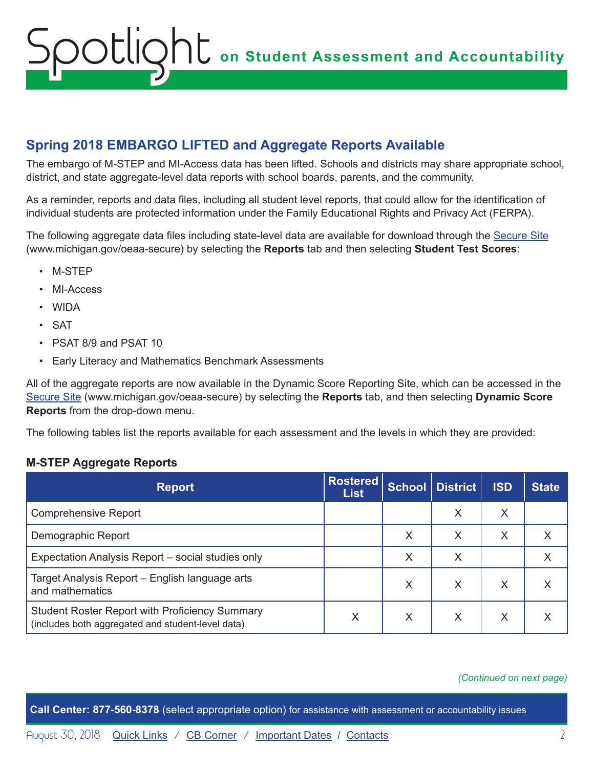#### <span id="page-1-0"></span>**Spring 2018 EMBARGO LIFTED and Aggregate Reports Available**

The embargo of M-STEP and MI-Access data has been lifted. Schools and districts may share appropriate school, district, and state aggregate-level data reports with school boards, parents, and the community.

As a reminder, reports and data files, including all student level reports, that could allow for the identification of individual students are protected information under the Family Educational Rights and Privacy Act (FERPA).

The following aggregate data files including state-level data are available for download through the [Secure Site](http://www.michigan.gov/oeaa-secure) (www.michigan.gov/oeaa-secure) by selecting the **Reports** tab and then selecting **Student Test Scores**:

- M-STEP
- MI-Access
- WIDA
- SAT
- PSAT 8/9 and PSAT 10
- Early Literacy and Mathematics Benchmark Assessments

All of the aggregate reports are now available in the Dynamic Score Reporting Site, which can be accessed in the [Secure Site](http://www.michigan.gov/oeaa-secure) (www.michigan.gov/oeaa-secure) by selecting the **Reports** tab, and then selecting **Dynamic Score Reports** from the drop-down menu.

The following tables list the reports available for each assessment and the levels in which they are provided:

#### **M-STEP Aggregate Reports**

| <b>Report</b>                                                                                              | <b>Rostered</b><br><b>List</b> |   | School   District | <b>ISD</b> | State |
|------------------------------------------------------------------------------------------------------------|--------------------------------|---|-------------------|------------|-------|
| <b>Comprehensive Report</b>                                                                                |                                |   | X                 | Χ          |       |
| Demographic Report                                                                                         |                                | Χ | X                 | X          |       |
| Expectation Analysis Report – social studies only                                                          |                                | X | X                 |            |       |
| Target Analysis Report – English language arts<br>and mathematics                                          |                                | Χ | X                 | X          |       |
| <b>Student Roster Report with Proficiency Summary</b><br>(includes both aggregated and student-level data) | Χ                              | Χ | X                 | Χ          |       |

#### *(Continued on next page)*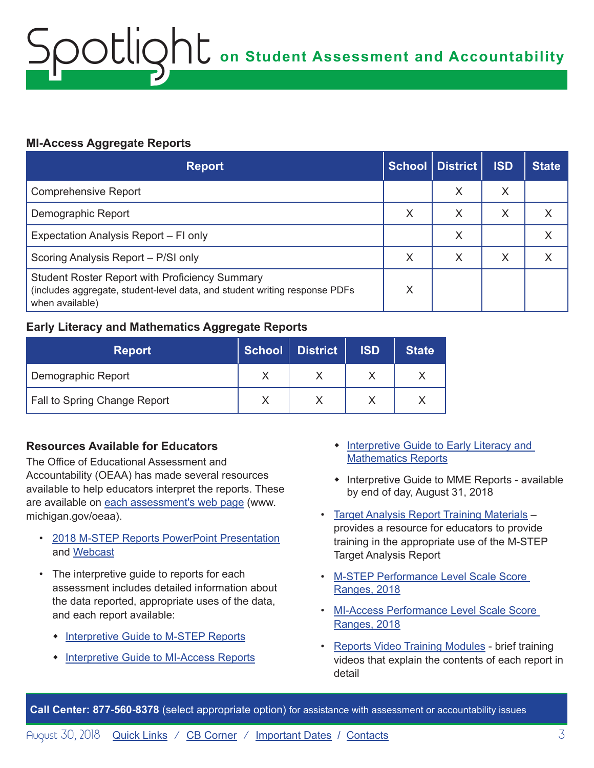#### **MI-Access Aggregate Reports**

| <b>Report</b>                                                                                                                                          |   | School District | <b>ISD</b> | <b>State</b> |
|--------------------------------------------------------------------------------------------------------------------------------------------------------|---|-----------------|------------|--------------|
| <b>Comprehensive Report</b>                                                                                                                            |   | X               | X          |              |
| Demographic Report                                                                                                                                     | X | Χ               | X          |              |
| Expectation Analysis Report – FI only                                                                                                                  |   | Х               |            |              |
| Scoring Analysis Report - P/SI only                                                                                                                    | X | Χ               | X          |              |
| <b>Student Roster Report with Proficiency Summary</b><br>(includes aggregate, student-level data, and student writing response PDFs<br>when available) | X |                 |            |              |

#### **Early Literacy and Mathematics Aggregate Reports**

| <b>Report</b>                | School   District | <b>ISD</b> | <b>State</b> |
|------------------------------|-------------------|------------|--------------|
| Demographic Report           |                   |            |              |
| Fall to Spring Change Report |                   |            |              |

#### **Resources Available for Educators**

The Office of Educational Assessment and Accountability (OEAA) has made several resources available to help educators interpret the reports. These are available on [each assessment's web page](http://www.michigan.gov/oeaa) (www. michigan.gov/oeaa).

- [2018 M-STEP Reports PowerPoint Presentation](https://www.michigan.gov/documents/mde/2018_M-STEP_Reports_Webinar_630937_7.pdf) and [Webcast](https://www.youtube.com/watch?v=QSPbsfPc_vE&feature=youtu.be)
- The interpretive guide to reports for each assessment includes detailed information about the data reported, appropriate uses of the data, and each report available:
	- [Interpretive Guide to M-STEP Reports](https://www.michigan.gov/documents/mde/M-STEP_GTR_629556_7.pdf)
	- [Interpretive Guide to MI-Access Reports](https://www.michigan.gov/documents/mde/Interpretive_Guide_to_MI-Access_Reports_631144_7.pdf)
- Interpretive Guide to Early Literacy and [Mathematics Reports](https://www.michigan.gov/documents/mde/Early_Literacy_and_Mathematics_GTR_629498_7.pdf)
- Interpretive Guide to MME Reports available by end of day, August 31, 2018
- [Target Analysis Report Training Materials](https://www.michigan.gov/mde/0,4615,7-140-22709_70117-396811--,00.html) provides a resource for educators to provide training in the appropriate use of the M-STEP Target Analysis Report
- [M-STEP Performance Level Scale Score](https://www.michigan.gov/documents/mde/M-STEP_Performance_Level_Scale_Score_Ranges_629179_7.pdf)  [Ranges, 2018](https://www.michigan.gov/documents/mde/M-STEP_Performance_Level_Scale_Score_Ranges_629179_7.pdf)
- [MI-Access Performance Level Scale Score](https://www.michigan.gov/documents/mde/MI-Access_Performance_Levels_and_Score_Ranges_629180_7.pdf)  [Ranges, 2018](https://www.michigan.gov/documents/mde/MI-Access_Performance_Levels_and_Score_Ranges_629180_7.pdf)
- [Reports Video Training Modules](https://www.michigan.gov/mde/0,4615,7-140-22709_70117-386132--,00.html)  brief training videos that explain the contents of each report in detail

**Call Center: 877-560-8378** (select appropriate option) for assistance with assessment or accountability issues

August 30, 2018 **[Quick Links](#page-0-0)** / [CB Corner](#page-7-1) / [Important Dates](#page-9-1) / [Contacts](#page-10-1) 3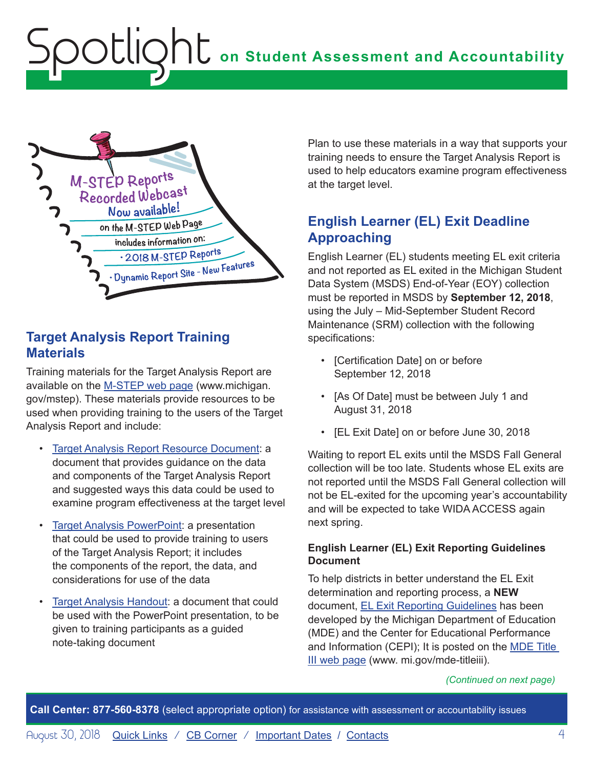<span id="page-3-0"></span>

#### **Target Analysis Report Training Materials**

Training materials for the Target Analysis Report are available on the [M-STEP web page](www.michigan.gov/mstep) (www.michigan. gov/mstep). These materials provide resources to be used when providing training to the users of the Target Analysis Report and include:

- [Target Analysis Report Resource Document](https://www.michigan.gov/documents/mde/Target_Analysis_Report-Resource_Document_jl_539921_7.pdf): a document that provides guidance on the data and components of the Target Analysis Report and suggested ways this data could be used to examine program effectiveness at the target level
- **[Target Analysis PowerPoint](https://www.michigan.gov/documents/mde/Target_Analysis_Training_jl_539922_7.pdf): a presentation** that could be used to provide training to users of the Target Analysis Report; it includes the components of the report, the data, and considerations for use of the data
- [Target Analysis Handout:](https://www.michigan.gov/documents/mde/Target_Analysis_Report_Handout_jl_539924_7.pdf) a document that could be used with the PowerPoint presentation, to be given to training participants as a guided note-taking document

Plan to use these materials in a way that supports your training needs to ensure the Target Analysis Report is used to help educators examine program effectiveness at the target level.

#### **English Learner (EL) Exit Deadline Approaching**

English Learner (EL) students meeting EL exit criteria and not reported as EL exited in the Michigan Student Data System (MSDS) End-of-Year (EOY) collection must be reported in MSDS by **September 12, 2018**, using the July – Mid-September Student Record Maintenance (SRM) collection with the following specifications:

- [Certification Date] on or before September 12, 2018
- [As Of Date] must be between July 1 and August 31, 2018
- [EL Exit Date] on or before June 30, 2018

Waiting to report EL exits until the MSDS Fall General collection will be too late. Students whose EL exits are not reported until the MSDS Fall General collection will not be EL-exited for the upcoming year's accountability and will be expected to take WIDA ACCESS again next spring.

#### **English Learner (EL) Exit Reporting Guidelines Document**

To help districts in better understand the EL Exit determination and reporting process, a **NEW** document, [EL Exit Reporting Guidelines](https://www.michigan.gov/documents/mde/English_Learner_EL_Exit_Reporting_Guidelines_624626_7.pdf) has been developed by the Michigan Department of Education (MDE) and the Center for Educational Performance and Information (CEPI); It is posted on the [MDE Title](http://www.mi.gov/mde-titleiii)  [III web page](http://www.mi.gov/mde-titleiii) (www. mi.gov/mde-titleiii).

#### *(Continued on next page)*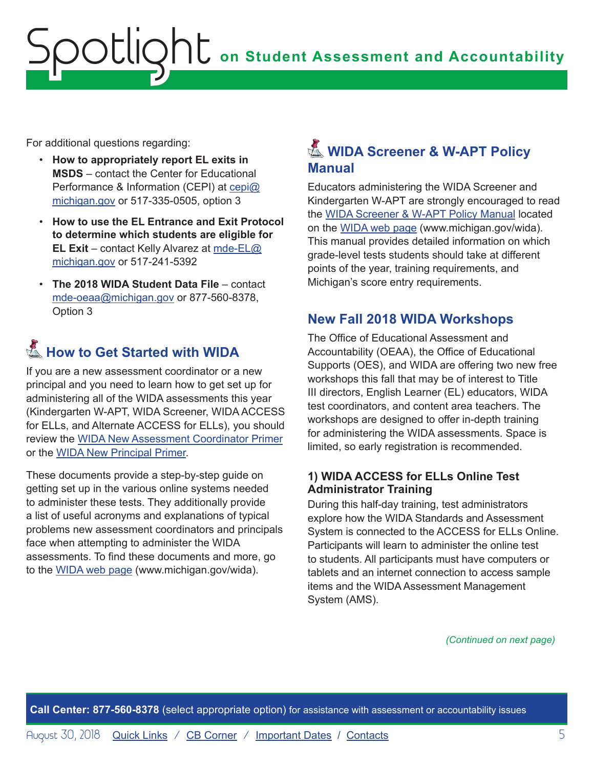<span id="page-4-0"></span>For additional questions regarding:

- **How to appropriately report EL exits in MSDS** – contact the Center for Educational Performance & Information (CEPI) at [cepi@](mailto:cepi%40michigan.gov?subject=) [michigan.gov](mailto:cepi%40michigan.gov?subject=) or 517-335-0505, option 3
- **How to use the EL Entrance and Exit Protocol to determine which students are eligible for EL Exit** – contact Kelly Alvarez at [mde-EL@](mailto:mde-EL%40michigan.gov?subject=) [michigan.gov](mailto:mde-EL%40michigan.gov?subject=) or 517-241-5392
- **The 2018 WIDA Student Data File** contact [mde-oeaa@michigan.gov](mailto:mde-oeaa%40michigan.gov?subject=) or 877-560-8378, Option 3

### **K** How to Get Started with WIDA

If you are a new assessment coordinator or a new principal and you need to learn how to get set up for administering all of the WIDA assessments this year (Kindergarten W-APT, WIDA Screener, WIDA ACCESS for ELLs, and Alternate ACCESS for ELLs), you should review the [WIDA New Assessment Coordinator Primer](https://www.michigan.gov/documents/mde/WIDA_New_Assessment_Coordinator-2016-acc_523867_7.pdf) or the [WIDA New Principal Primer](https://www.michigan.gov/documents/mde/WIDA_New_Assessment_Principal-2016-acc_523863_7.pdf).

These documents provide a step-by-step guide on getting set up in the various online systems needed to administer these tests. They additionally provide a list of useful acronyms and explanations of typical problems new assessment coordinators and principals face when attempting to administer the WIDA assessments. To find these documents and more, go to the [WIDA web page](www.michigan.gov/wida) (www.michigan.gov/wida).

### **图 WIDA Screener & W-APT Policy Manual**

Educators administering the WIDA Screener and Kindergarten W-APT are strongly encouraged to read the [WIDA Screener & W-APT Policy Manual](https://www.michigan.gov/documents/mde/2017_Michigan_WIDA_Screener__W-APT_Policy_Manual_560932_7.pdf) located on the [WIDA web page](www.michigan.gov/wida) (www.michigan.gov/wida). This manual provides detailed information on which grade-level tests students should take at different points of the year, training requirements, and Michigan's score entry requirements.

#### **New Fall 2018 WIDA Workshops**

The Office of Educational Assessment and Accountability (OEAA), the Office of Educational Supports (OES), and WIDA are offering two new free workshops this fall that may be of interest to Title III directors, English Learner (EL) educators, WIDA test coordinators, and content area teachers. The workshops are designed to offer in-depth training for administering the WIDA assessments. Space is limited, so early registration is recommended.

#### **1) WIDA ACCESS for ELLs Online Test Administrator Training**

During this half-day training, test administrators explore how the WIDA Standards and Assessment System is connected to the ACCESS for ELLs Online. Participants will learn to administer the online test to students. All participants must have computers or tablets and an internet connection to access sample items and the WIDA Assessment Management System (AMS).

*(Continued on next page)*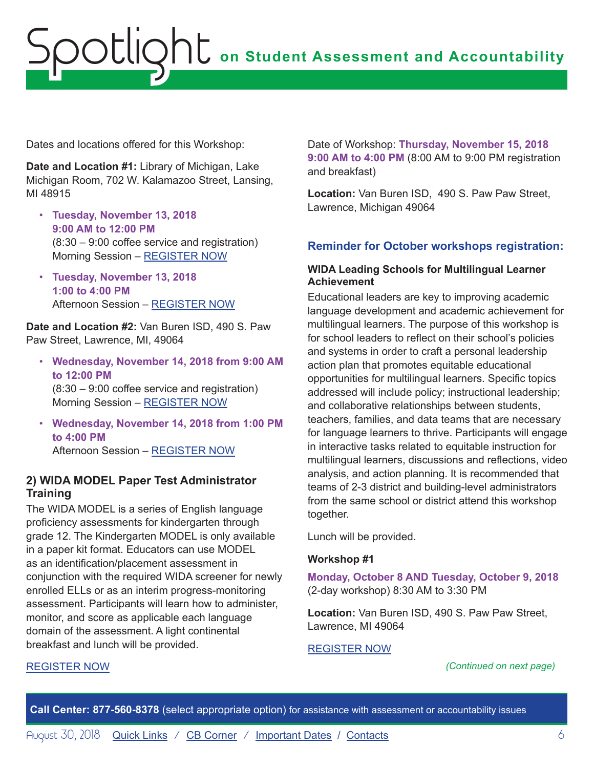<span id="page-5-0"></span>Dates and locations offered for this Workshop:

**Date and Location #1:** Library of Michigan, Lake Michigan Room, 702 W. Kalamazoo Street, Lansing, MI 48915

- **Tuesday, November 13, 2018 9:00 AM to 12:00 PM** (8:30 – 9:00 coffee service and registration) Morning Session – [REGISTER NOW](https://www.eventbrite.com/e/wida-access-for-ells-20-online-test-administrator-training-morning-session-tickets-49553241078)
- **Tuesday, November 13, 2018 1:00 to 4:00 PM** Afternoon Session – [REGISTER NOW](https://www.eventbrite.com/e/wida-access-for-ells-20-online-test-administrator-training-afternoon-session-tickets-49553858926)

**Date and Location #2:** Van Buren ISD, 490 S. Paw Paw Street, Lawrence, MI, 49064

- **Wednesday, November 14, 2018 from 9:00 AM to 12:00 PM** (8:30 – 9:00 coffee service and registration) Morning Session – [REGISTER NOW](https://www.eventbrite.com/e/wida-access-for-ells-20-online-test-administrator-training-morning-session-tickets-49556628209)
- **Wednesday, November 14, 2018 from 1:00 PM to 4:00 PM** Afternoon Session – [REGISTER NOW](https://www.eventbrite.com/e/wida-access-for-ells-20-online-test-administrator-training-afternoon-session-tickets-49554099646)

#### **2) WIDA MODEL Paper Test Administrator Training**

The WIDA MODEL is a series of English language proficiency assessments for kindergarten through grade 12. The Kindergarten MODEL is only available in a paper kit format. Educators can use MODEL as an identification/placement assessment in conjunction with the required WIDA screener for newly enrolled ELLs or as an interim progress-monitoring assessment. Participants will learn how to administer, monitor, and score as applicable each language domain of the assessment. A light continental breakfast and lunch will be provided.

[REGISTER NOW](https://www.eventbrite.com/e/wida-model-paper-test-administrator-training-tickets-49553950199)

Date of Workshop: **Thursday, November 15, 2018 9:00 AM to 4:00 PM** (8:00 AM to 9:00 PM registration and breakfast)

**Location:** Van Buren ISD, 490 S. Paw Paw Street, Lawrence, Michigan 49064

#### **Reminder for October workshops registration:**

#### **WIDA Leading Schools for Multilingual Learner Achievement**

Educational leaders are key to improving academic language development and academic achievement for multilingual learners. The purpose of this workshop is for school leaders to reflect on their school's policies and systems in order to craft a personal leadership action plan that promotes equitable educational opportunities for multilingual learners. Specific topics addressed will include policy; instructional leadership; and collaborative relationships between students, teachers, families, and data teams that are necessary for language learners to thrive. Participants will engage in interactive tasks related to equitable instruction for multilingual learners, discussions and reflections, video analysis, and action planning. It is recommended that teams of 2-3 district and building-level administrators from the same school or district attend this workshop together.

Lunch will be provided.

#### **Workshop #1**

**Monday, October 8 AND Tuesday, October 9, 2018** (2-day workshop) 8:30 AM to 3:30 PM

**Location:** Van Buren ISD, 490 S. Paw Paw Street, Lawrence, MI 49064

#### [REGISTER NOW](https://www.eventbrite.com/e/leading-schools-for-multilingual-learner-achievement-registration-46676636075)

#### *(Continued on next page)*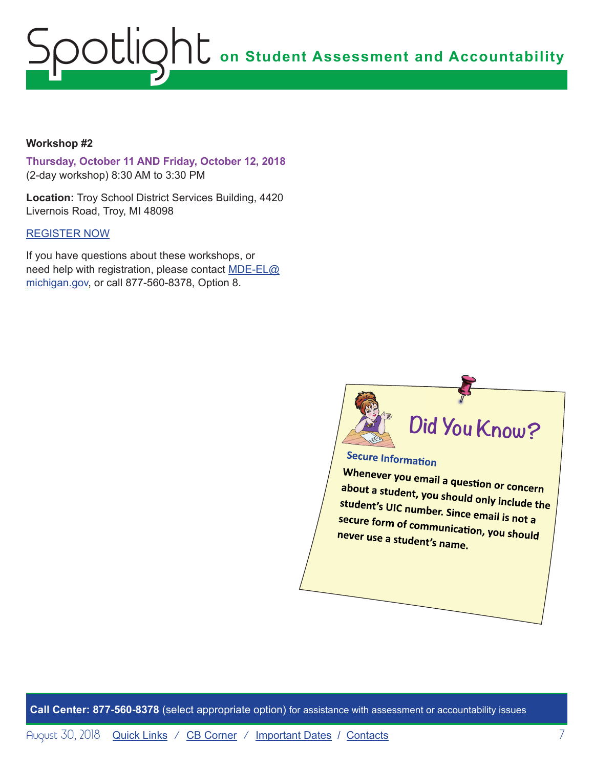#### **Workshop #2**

**Thursday, October 11 AND Friday, October 12, 2018** (2-day workshop) 8:30 AM to 3:30 PM

**Location:** Troy School District Services Building, 4420 Livernois Road, Troy, MI 48098

#### [REGISTER NOW](https://www.eventbrite.com/e/leading-schools-for-multilingual-learner-achievement-tickets-46676638081)

If you have questions about these workshops, or need help with registration, please contact [MDE-EL@](mailto:MDE-EL%40michigan.gov?subject=) [michigan.gov,](mailto:MDE-EL%40michigan.gov?subject=) or call 877-560-8378, Option 8.



### **Secure Information**

Whenever you email a question or concern about a student, you should only include the  $\overline{\phantom{a}}$ student's UIC number. Since email is not a secure form of serve is unce email is not a never use a study form of communication, you should never use a student's name.

**Call Center: 877-560-8378** (select appropriate option) for assistance with assessment or accountability issues

August 30, 2018 **[Quick Links](#page-0-0)** / [CB Corner](#page-7-1) / [Important Dates](#page-9-1) / [Contacts](#page-10-1) 7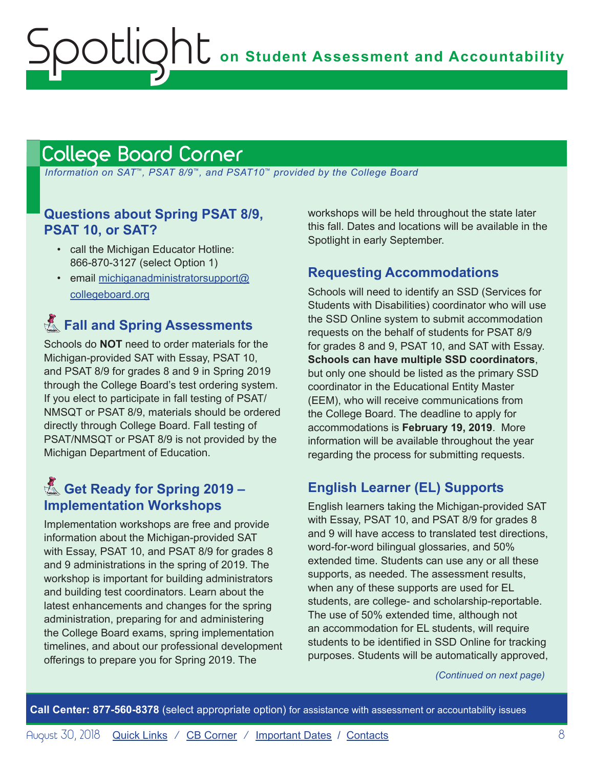### <span id="page-7-1"></span>College Board Corner

<span id="page-7-0"></span>Spotlight

 *Information on SAT*™*, PSAT 8/9*™*, and PSAT10*™ *provided by the College Board*

#### **Questions about Spring PSAT 8/9, PSAT 10, or SAT?**

- call the Michigan Educator Hotline: 866-870-3127 (select Option 1)
- email [michiganadministratorsupport@](mailto:michiganadministratorsupport%40collegeboard.org?subject=) [collegeboard.org](mailto:michiganadministratorsupport%40collegeboard.org?subject=)

### **E.** Fall and Spring Assessments

Schools do **NOT** need to order materials for the Michigan-provided SAT with Essay, PSAT 10, and PSAT 8/9 for grades 8 and 9 in Spring 2019 through the College Board's test ordering system. If you elect to participate in fall testing of PSAT/ NMSQT or PSAT 8/9, materials should be ordered directly through College Board. Fall testing of PSAT/NMSQT or PSAT 8/9 is not provided by the Michigan Department of Education.

### Get Ready for Spring 2019 -**Implementation Workshops**

Implementation workshops are free and provide information about the Michigan-provided SAT with Essay, PSAT 10, and PSAT 8/9 for grades 8 and 9 administrations in the spring of 2019. The workshop is important for building administrators and building test coordinators. Learn about the latest enhancements and changes for the spring administration, preparing for and administering the College Board exams, spring implementation timelines, and about our professional development offerings to prepare you for Spring 2019. The

workshops will be held throughout the state later this fall. Dates and locations will be available in the Spotlight in early September.

#### **Requesting Accommodations**

Schools will need to identify an SSD (Services for Students with Disabilities) coordinator who will use the SSD Online system to submit accommodation requests on the behalf of students for PSAT 8/9 for grades 8 and 9, PSAT 10, and SAT with Essay. **Schools can have multiple SSD coordinators**, but only one should be listed as the primary SSD coordinator in the Educational Entity Master (EEM), who will receive communications from the College Board. The deadline to apply for accommodations is **February 19, 2019**. More information will be available throughout the year regarding the process for submitting requests.

#### **English Learner (EL) Supports**

English learners taking the Michigan-provided SAT with Essay, PSAT 10, and PSAT 8/9 for grades 8 and 9 will have access to translated test directions, word-for-word bilingual glossaries, and 50% extended time. Students can use any or all these supports, as needed. The assessment results, when any of these supports are used for EL students, are college- and scholarship-reportable. The use of 50% extended time, although not an accommodation for EL students, will require students to be identified in SSD Online for tracking purposes. Students will be automatically approved,

*(Continued on next page)*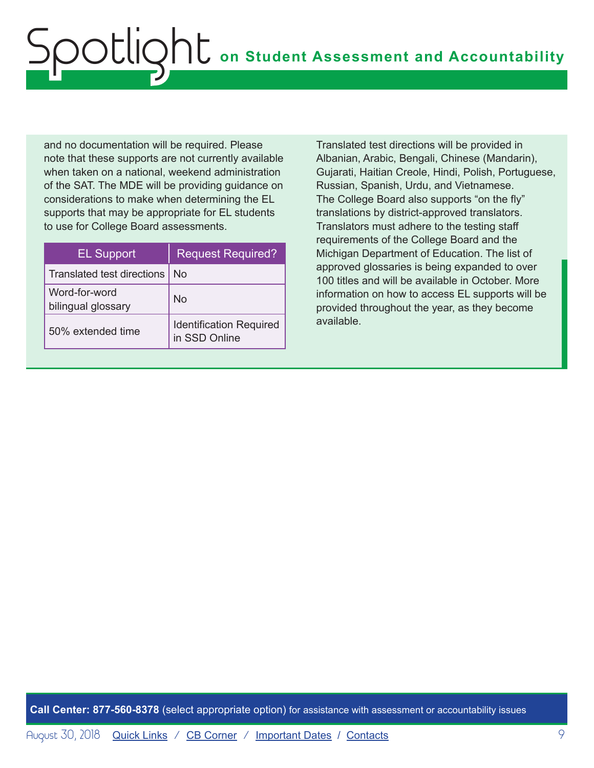and no documentation will be required. Please note that these supports are not currently available when taken on a national, weekend administration of the SAT. The MDE will be providing guidance on considerations to make when determining the EL supports that may be appropriate for EL students to use for College Board assessments.

| <b>EL Support</b>                   | <b>Request Required?</b>                        |
|-------------------------------------|-------------------------------------------------|
| Translated test directions          | No.                                             |
| Word-for-word<br>bilingual glossary | No                                              |
| 50% extended time                   | <b>Identification Required</b><br>in SSD Online |

Translated test directions will be provided in Albanian, Arabic, Bengali, Chinese (Mandarin), Gujarati, Haitian Creole, Hindi, Polish, Portuguese, Russian, Spanish, Urdu, and Vietnamese. The College Board also supports "on the fly" translations by district-approved translators. Translators must adhere to the testing staff requirements of the College Board and the Michigan Department of Education. The list of approved glossaries is being expanded to over 100 titles and will be available in October. More information on how to access EL supports will be provided throughout the year, as they become available.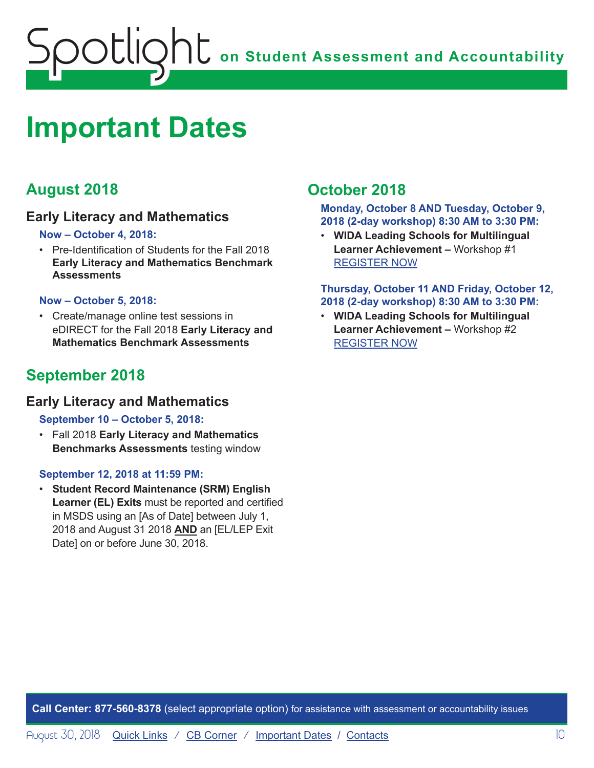<span id="page-9-0"></span>

### <span id="page-9-1"></span>**Important Dates**

#### **August 2018**

#### **Early Literacy and Mathematics**

#### **Now – October 4, 2018:**

• Pre-Identification of Students for the Fall 2018 **Early Literacy and Mathematics Benchmark Assessments**

#### **Now – October 5, 2018:**

• Create/manage online test sessions in eDIRECT for the Fall 2018 **Early Literacy and Mathematics Benchmark Assessments**

#### **September 2018**

#### **Early Literacy and Mathematics**

#### **September 10 – October 5, 2018:**

• Fall 2018 **Early Literacy and Mathematics Benchmarks Assessments** testing window

#### **September 12, 2018 at 11:59 PM:**

• **Student Record Maintenance (SRM) English Learner (EL) Exits** must be reported and certified in MSDS using an [As of Date] between July 1, 2018 and August 31 2018 **AND** an [EL/LEP Exit Date] on or before June 30, 2018.

#### **October 2018**

**Monday, October 8 AND Tuesday, October 9, 2018 (2-day workshop) 8:30 AM to 3:30 PM:**

• **WIDA Leading Schools for Multilingual Learner Achievement –** Workshop #1 [REGISTER NOW](https://www.eventbrite.com/e/leading-schools-for-multilingual-learner-achievement-registration-46676636075)

#### **Thursday, October 11 AND Friday, October 12, 2018 (2-day workshop) 8:30 AM to 3:30 PM:**

• **WIDA Leading Schools for Multilingual Learner Achievement –** Workshop #2 [REGISTER NOW](https://www.eventbrite.com/e/leading-schools-for-multilingual-learner-achievement-tickets-46676638081)